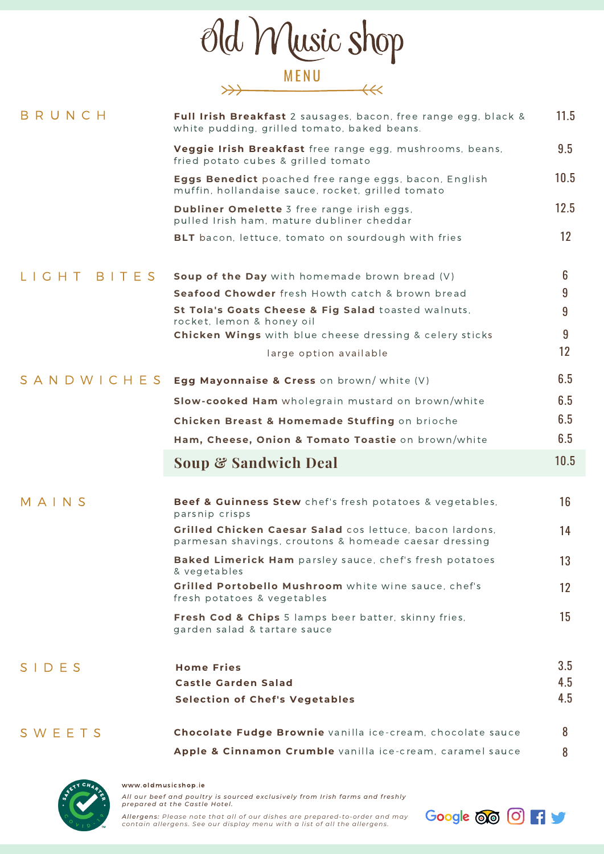|                | Old Music shop                                                                                                                                                                                                                                                                          |                                     |
|----------------|-----------------------------------------------------------------------------------------------------------------------------------------------------------------------------------------------------------------------------------------------------------------------------------------|-------------------------------------|
|                | <b>MENU</b>                                                                                                                                                                                                                                                                             |                                     |
| BRUNCH         | Full Irish Breakfast 2 sausages, bacon, free range egg, black &<br>white pudding, grilled tomato, baked beans.                                                                                                                                                                          | 11.5                                |
|                | Veggie Irish Breakfast free range egg, mushrooms, beans,<br>fried potato cubes & grilled tomato                                                                                                                                                                                         | 9.5                                 |
|                | Eggs Benedict poached free range eggs, bacon, English<br>muffin, hollandaise sauce, rocket, grilled tomato                                                                                                                                                                              | 10.5                                |
|                | Dubliner Omelette 3 free range irish eggs,<br>pulled Irish ham, mature dubliner cheddar                                                                                                                                                                                                 | 12.5                                |
|                | BLT bacon, lettuce, tomato on sourdough with fries                                                                                                                                                                                                                                      | 12 <sup>2</sup>                     |
| BITES<br>G H T | Soup of the Day with homemade brown bread (V)<br><b>Seafood Chowder</b> fresh Howth catch & brown bread<br>St Tola's Goats Cheese & Fig Salad toasted walnuts,<br>rocket, lemon & honey oil<br><b>Chicken Wings</b> with blue cheese dressing & celery sticks<br>large option available | 6<br>9<br>9<br>9<br>12 <sup>2</sup> |
| SANDWICHES     | Egg Mayonnaise & Cress on brown/ white (V)                                                                                                                                                                                                                                              | 6.5                                 |
|                | Slow-cooked Ham wholegrain mustard on brown/white                                                                                                                                                                                                                                       | 6.5                                 |
|                | Chicken Breast & Homemade Stuffing on brioche                                                                                                                                                                                                                                           | 6.5                                 |
|                | Ham, Cheese, Onion & Tomato Toastie on brown/white                                                                                                                                                                                                                                      | 6.5                                 |
|                | <b>Soup &amp; Sandwich Deal</b>                                                                                                                                                                                                                                                         | 10.5                                |
| MAINS          | Beef & Guinness Stew chef's fresh potatoes & vegetables,<br>parsnip crisps<br>Grilled Chicken Caesar Salad cos lettuce, bacon lardons,<br>parmesan shavings, croutons & homeade caesar dressing                                                                                         | 16<br>14                            |
|                | Baked Limerick Ham parsley sauce, chef's fresh potatoes                                                                                                                                                                                                                                 | 13                                  |
|                | & vegetables<br>Grilled Portobello Mushroom white wine sauce, chef's<br>fresh potatoes & vegetables                                                                                                                                                                                     | $12 \overline{ }$                   |
|                | Fresh Cod & Chips 5 lamps beer batter, skinny fries,<br>garden salad & tartare sauce                                                                                                                                                                                                    | 15                                  |
| SIDES          | <b>Home Fries</b><br><b>Castle Garden Salad</b><br><b>Selection of Chef's Vegetables</b>                                                                                                                                                                                                | 3.5<br>4.5<br>4.5                   |
| SWEETS         | Chocolate Fudge Brownie vanilla ice-cream, chocolate sauce<br>Apple & Cinnamon Crumble vanilla ice-cream, caramel sauce                                                                                                                                                                 | 8<br>8                              |



www.oldmus icshop.ie All our beef and poultry is sourced exclusively from Irish farms and freshly<br>prepared at the Castle Hotel.

Allergens: Please note that all of our dishes are prepared-to-order and may<br>contain allergens. See our display menu with a list of all the allergens.